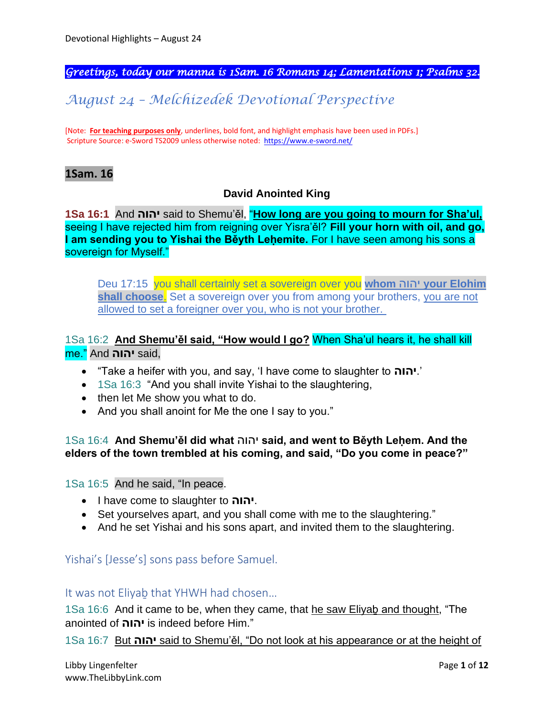*Greetings, today our manna is 1Sam. 16 Romans 14; Lamentations 1; Psalms 32.* 

# *August 24 – Melchizedek Devotional Perspective*

[Note: **For teaching purposes only**, underlines, bold font, and highlight emphasis have been used in PDFs.] Scripture Source: e-Sword TS2009 unless otherwise noted: <https://www.e-sword.net/>

## **1Sam. 16**

## **David Anointed King**

**1Sa 16:1** And **יהוה** said to Shemu'ěl, "**How long are you going to mourn for Sha'ul,** seeing I have rejected him from reigning over Yisra'ěl? **Fill your horn with oil, and go, I am sending you to Yishai the Běyth Leḥemite.** For I have seen among his sons a sovereign for Myself."

Deu 17:15 you shall certainly set a sovereign over you **whom** יהוה **your Elohim shall choose**. Set a sovereign over you from among your brothers, you are not allowed to set a foreigner over you, who is not your brother.

## 1Sa 16:2 **And Shemu'ěl said, "How would I go?** When Sha'ul hears it, he shall kill me." And **יהוה** said,

- "Take a heifer with you, and say, 'I have come to slaughter to **יהוה**.'
- 1Sa 16:3 "And you shall invite Yishai to the slaughtering,
- then let Me show you what to do.
- And you shall anoint for Me the one I say to you."

1Sa 16:4 **And Shemu'ěl did what** יהוה **said, and went to Běyth Leḥem. And the elders of the town trembled at his coming, and said, "Do you come in peace?"**

1Sa 16:5 And he said, "In peace.

- I have come to slaughter to **יהוה**.
- Set yourselves apart, and you shall come with me to the slaughtering."
- And he set Yishai and his sons apart, and invited them to the slaughtering.

Yishai's [Jesse's] sons pass before Samuel.

It was not Eliyaḇ that YHWH had chosen…

1Sa 16:6 And it came to be, when they came, that he saw Eliyaḇ and thought, "The anointed of **יהוה** is indeed before Him."

1Sa 16:7 But **יהוה** said to Shemu'ěl, "Do not look at his appearance or at the height of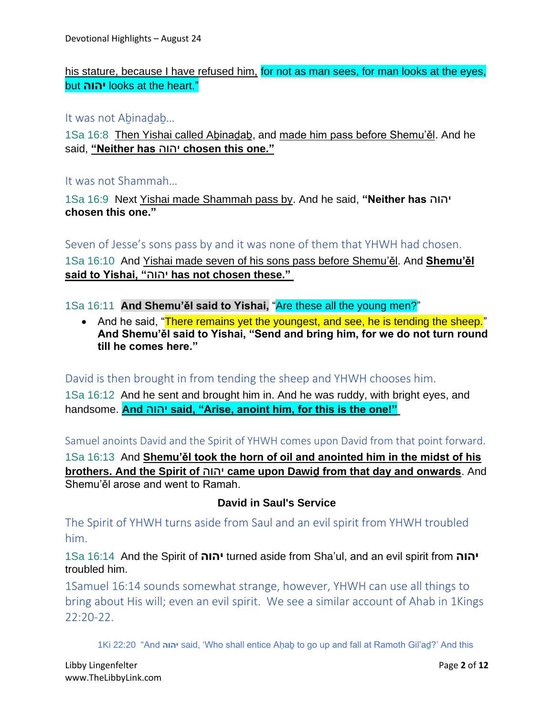his stature, because I have refused him, for not as man sees, for man looks at the eyes, but **יהוה** looks at the heart."

#### It was not Aḇinaḏaḇ…

1Sa 16:8 Then Yishai called Aḇinaḏaḇ, and made him pass before Shemu'ěl. And he said, **"Neither has** יהוה **chosen this one."**

It was not Shammah…

1Sa 16:9 Next Yishai made Shammah pass by. And he said, **"Neither has** יהוה **chosen this one."**

Seven of Jesse's sons pass by and it was none of them that YHWH had chosen. 1Sa 16:10 And Yishai made seven of his sons pass before Shemu'ěl. And **Shemu'ěl said to Yishai, "**יהוה **has not chosen these."**

1Sa 16:11 **And Shemu'ěl said to Yishai,** "Are these all the young men?"

• And he said, "There remains yet the youngest, and see, he is tending the sheep." **And Shemu'ěl said to Yishai, "Send and bring him, for we do not turn round till he comes here."**

David is then brought in from tending the sheep and YHWH chooses him.

1Sa 16:12 And he sent and brought him in. And he was ruddy, with bright eyes, and handsome. **And** יהוה **said, "Arise, anoint him, for this is the one!"**

Samuel anoints David and the Spirit of YHWH comes upon David from that point forward.

1Sa 16:13 And **Shemu'ěl took the horn of oil and anointed him in the midst of his brothers. And the Spirit of** יהוה **came upon Dawiḏ from that day and onwards**. And Shemu'ěl arose and went to Ramah.

## **David in Saul's Service**

The Spirit of YHWH turns aside from Saul and an evil spirit from YHWH troubled him.

1Sa 16:14 And the Spirit of **יהוה** turned aside from Sha'ul, and an evil spirit from **יהוה** troubled him.

1Samuel 16:14 sounds somewhat strange, however, YHWH can use all things to bring about His will; even an evil spirit. We see a similar account of Ahab in 1Kings 22:20-22.

1Ki 22:20 "And **יהוה** said, 'Who shall entice Aḥaḇ to go up and fall at Ramoth Gil'aḏ?' And this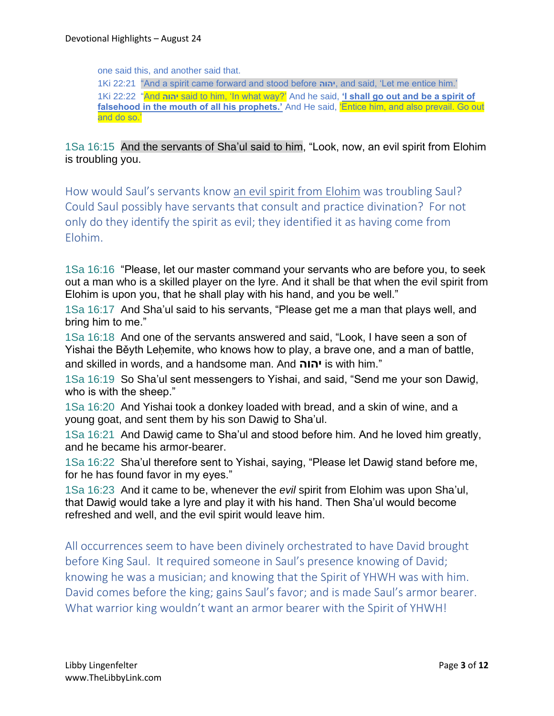one said this, and another said that.

1Ki 22:21 "And a spirit came forward and stood before **יהוה**, and said, 'Let me entice him.' 1Ki 22:22 "And **יהוה** said to him, 'In what way?' And he said, **'I shall go out and be a spirit of**  falsehood in the mouth of all his prophets.' And He said, **Entice him, and also prevail. Go out** and do so.'

## 1Sa 16:15 And the servants of Sha'ul said to him, "Look, now, an evil spirit from Elohim is troubling you.

How would Saul's servants know an evil spirit from Elohim was troubling Saul? Could Saul possibly have servants that consult and practice divination? For not only do they identify the spirit as evil; they identified it as having come from Elohim.

1Sa 16:16 "Please, let our master command your servants who are before you, to seek out a man who is a skilled player on the lyre. And it shall be that when the evil spirit from Elohim is upon you, that he shall play with his hand, and you be well."

1Sa 16:17 And Sha'ul said to his servants, "Please get me a man that plays well, and bring him to me."

1Sa 16:18 And one of the servants answered and said, "Look, I have seen a son of Yishai the Běyth Lehemite, who knows how to play, a brave one, and a man of battle, and skilled in words, and a handsome man. And **יהוה** is with him."

1Sa 16:19 So Sha'ul sent messengers to Yishai, and said, "Send me your son Dawiḏ, who is with the sheep."

1Sa 16:20 And Yishai took a donkey loaded with bread, and a skin of wine, and a young goat, and sent them by his son Dawid to Sha'ul.

1Sa 16:21 And Dawiḏ came to Sha'ul and stood before him. And he loved him greatly, and he became his armor-bearer.

1Sa 16:22 Sha'ul therefore sent to Yishai, saying, "Please let Dawiḏ stand before me, for he has found favor in my eyes."

1Sa 16:23 And it came to be, whenever the *evil* spirit from Elohim was upon Sha'ul, that Dawiḏ would take a lyre and play it with his hand. Then Sha'ul would become refreshed and well, and the evil spirit would leave him.

All occurrences seem to have been divinely orchestrated to have David brought before King Saul. It required someone in Saul's presence knowing of David; knowing he was a musician; and knowing that the Spirit of YHWH was with him. David comes before the king; gains Saul's favor; and is made Saul's armor bearer. What warrior king wouldn't want an armor bearer with the Spirit of YHWH!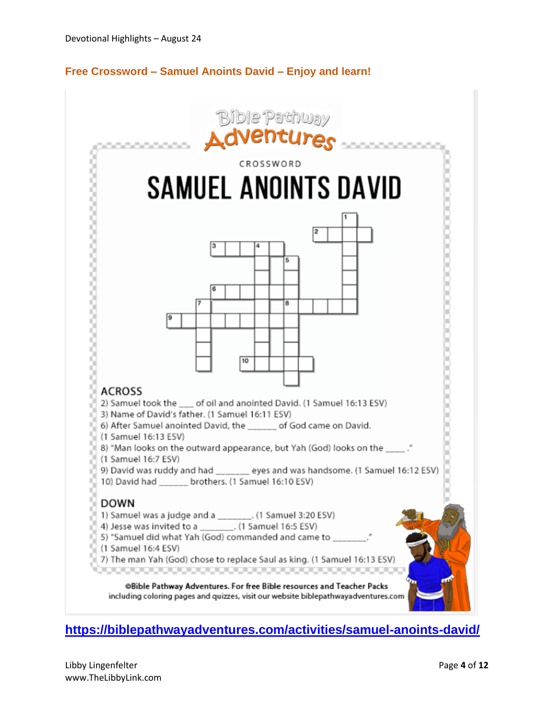## **Free Crossword – Samuel Anoints David – Enjoy and learn!**



# **<https://biblepathwayadventures.com/activities/samuel-anoints-david/>**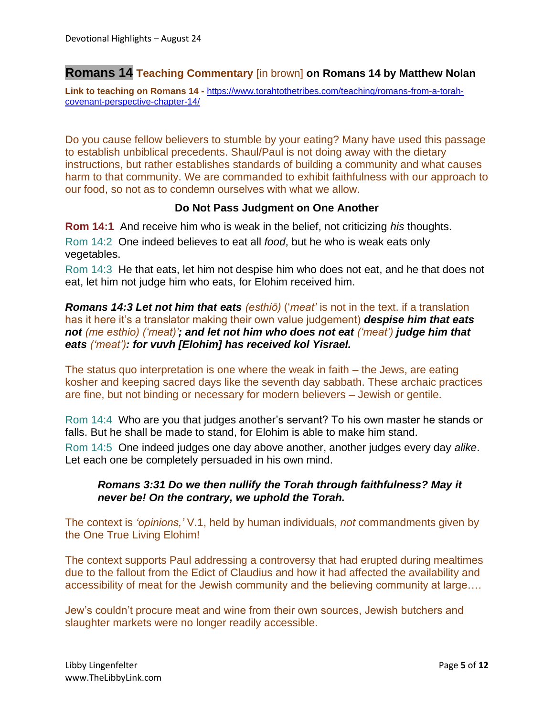## **Romans 14 Teaching Commentary** [in brown] **on Romans 14 by Matthew Nolan**

**Link to teaching on Romans 14 -** [https://www.torahtothetribes.com/teaching/romans-from-a-torah](https://www.torahtothetribes.com/teaching/romans-from-a-torah-covenant-perspective-chapter-14/)[covenant-perspective-chapter-14/](https://www.torahtothetribes.com/teaching/romans-from-a-torah-covenant-perspective-chapter-14/)

Do you cause fellow believers to stumble by your eating? Many have used this passage to establish unbiblical precedents. Shaul/Paul is not doing away with the dietary instructions, but rather establishes standards of building a community and what causes harm to that community. We are commanded to exhibit faithfulness with our approach to our food, so not as to condemn ourselves with what we allow.

#### **Do Not Pass Judgment on One Another**

**Rom 14:1** And receive him who is weak in the belief, not criticizing *his* thoughts. Rom 14:2 One indeed believes to eat all *food*, but he who is weak eats only vegetables.

Rom 14:3 He that eats, let him not despise him who does not eat, and he that does not eat, let him not judge him who eats, for Elohim received him.

*Romans 14:3 Let not him that eats (esthiō)* ('*meat'* is not in the text. if a translation has it here it's a translator making their own value judgement) *despise him that eats not (me esthio) ('meat)'; and let not him who does not eat ('meat') judge him that eats ('meat'): for vuvh [Elohim] has received kol Yisrael.*

The status quo interpretation is one where the weak in faith – the Jews, are eating kosher and keeping sacred days like the seventh day sabbath. These archaic practices are fine, but not binding or necessary for modern believers – Jewish or gentile.

Rom 14:4 Who are you that judges another's servant? To his own master he stands or falls. But he shall be made to stand, for Elohim is able to make him stand.

Rom 14:5 One indeed judges one day above another, another judges every day *alike*. Let each one be completely persuaded in his own mind.

### *Romans 3:31 Do we then nullify the Torah through faithfulness? May it never be! On the contrary, we uphold the Torah.*

The context is *'opinions,'* V.1, held by human individuals, *not* commandments given by the One True Living Elohim!

The context supports Paul addressing a controversy that had erupted during mealtimes due to the fallout from the Edict of Claudius and how it had affected the availability and accessibility of meat for the Jewish community and the believing community at large….

Jew's couldn't procure meat and wine from their own sources, Jewish butchers and slaughter markets were no longer readily accessible.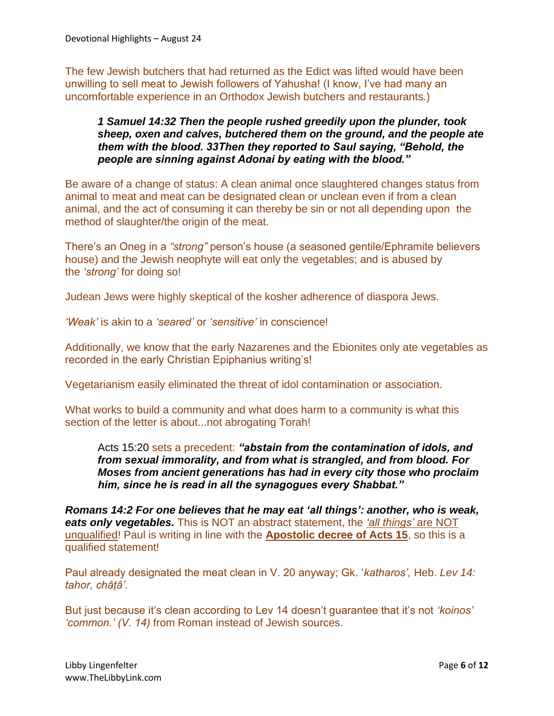The few Jewish butchers that had returned as the Edict was lifted would have been unwilling to sell meat to Jewish followers of Yahusha! (I know, I've had many an uncomfortable experience in an Orthodox Jewish butchers and restaurants.)

### *1 Samuel 14:32 Then the people rushed greedily upon the plunder, took sheep, oxen and calves, butchered them on the ground, and the people ate them with the blood. 33Then they reported to Saul saying, "Behold, the people are sinning against Adonai by eating with the blood."*

Be aware of a change of status: A clean animal once slaughtered changes status from animal to meat and meat can be designated clean or unclean even if from a clean animal, and the act of consuming it can thereby be sin or not all depending upon the method of slaughter/the origin of the meat.

There's an Oneg in a *"strong"* person's house (a seasoned gentile/Ephramite believers house) and the Jewish neophyte will eat only the vegetables; and is abused by the *'strong'* for doing so!

Judean Jews were highly skeptical of the kosher adherence of diaspora Jews.

*'Weak'* is akin to a *'seared'* or *'sensitive'* in conscience!

Additionally, we know that the early Nazarenes and the Ebionites only ate vegetables as recorded in the early Christian Epiphanius writing's!

Vegetarianism easily eliminated the threat of idol contamination or association.

What works to build a community and what does harm to a community is what this section of the letter is about...not abrogating Torah!

Acts 15:20 sets a precedent: *"abstain from the contamination of idols, and from sexual immorality, and from what is strangled, and from blood. For Moses from ancient generations has had in every city those who proclaim him, since he is read in all the synagogues every Shabbat."*

*Romans 14:2 For one believes that he may eat 'all things': another, who is weak, eats only vegetables.* This is NOT an abstract statement, the *'all things'* are NOT unqualified! Paul is writing in line with the **Apostolic decree of Acts 15**, so this is a qualified statement!

Paul already designated the meat clean in V. 20 anyway; Gk. '*katharos',* Heb. *Lev 14: tahor, châṭâ'.*

But just because it's clean according to Lev 14 doesn't guarantee that it's not *'koinos' 'common.' (V. 14)* from Roman instead of Jewish sources.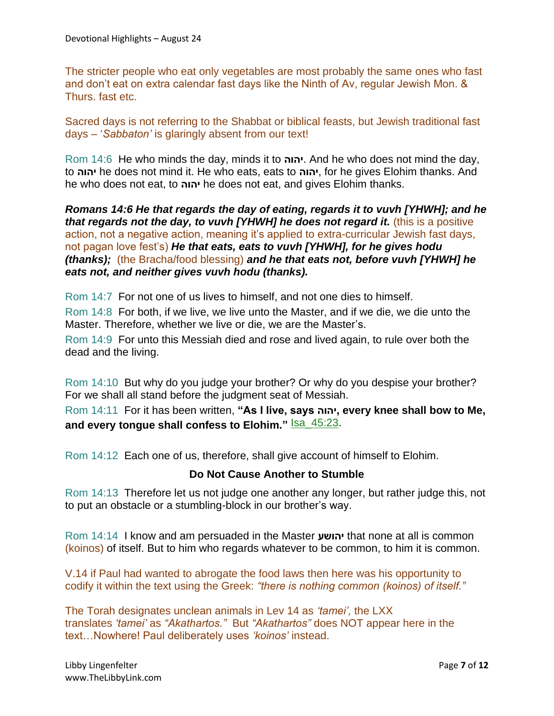The stricter people who eat only vegetables are most probably the same ones who fast and don't eat on extra calendar fast days like the Ninth of Av, regular Jewish Mon. & Thurs. fast etc.

Sacred days is not referring to the Shabbat or biblical feasts, but Jewish traditional fast days – '*Sabbaton'* is glaringly absent from our text!

Rom 14:6 He who minds the day, minds it to **יהוה**. And he who does not mind the day, to **יהוה** he does not mind it. He who eats, eats to **יהוה**, for he gives Elohim thanks. And he who does not eat, to **יהוה** he does not eat, and gives Elohim thanks.

*Romans 14:6 He that regards the day of eating, regards it to vuvh [YHWH]; and he that regards not the day, to vuvh [YHWH] he does not regard it.* (this is a positive action, not a negative action, meaning it's applied to extra-curricular Jewish fast days, not pagan love fest's) *He that eats, eats to vuvh [YHWH], for he gives hodu (thanks);* (the Bracha/food blessing) *and he that eats not, before vuvh [YHWH] he eats not, and neither gives vuvh hodu (thanks).*

Rom 14:7 For not one of us lives to himself, and not one dies to himself.

Rom 14:8 For both, if we live, we live unto the Master, and if we die, we die unto the Master. Therefore, whether we live or die, we are the Master's.

Rom 14:9 For unto this Messiah died and rose and lived again, to rule over both the dead and the living.

Rom 14:10 But why do you judge your brother? Or why do you despise your brother? For we shall all stand before the judgment seat of Messiah.

Rom 14:11 For it has been written, **"As I live, says יהוה, every knee shall bow to Me,**  and every tongue shall confess to Elohim." **Isa\_45:23**.

Rom 14:12 Each one of us, therefore, shall give account of himself to Elohim.

#### **Do Not Cause Another to Stumble**

Rom 14:13 Therefore let us not judge one another any longer, but rather judge this, not to put an obstacle or a stumbling-block in our brother's way.

Rom 14:14 I know and am persuaded in the Master **יהושע** that none at all is common (koinos) of itself. But to him who regards whatever to be common, to him it is common.

V.14 if Paul had wanted to abrogate the food laws then here was his opportunity to codify it within the text using the Greek: *"there is nothing common (koinos) of itself."*

The Torah designates unclean animals in Lev 14 as *'tamei',* the LXX translates *'tamei'* as *"Akathartos."* But *"Akathartos"* does NOT appear here in the text…Nowhere! Paul deliberately uses *'koinos'* instead.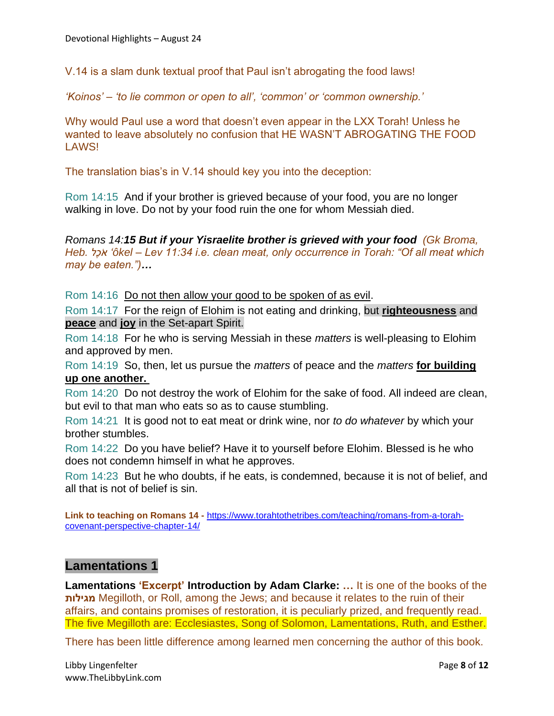V.14 is a slam dunk textual proof that Paul isn't abrogating the food laws!

*'Koinos' – 'to lie common or open to all', 'common' or 'common ownership.'*

Why would Paul use a word that doesn't even appear in the LXX Torah! Unless he wanted to leave absolutely no confusion that HE WASN'T ABROGATING THE FOOD LAWS!

The translation bias's in V.14 should key you into the deception:

Rom 14:15 And if your brother is grieved because of your food, you are no longer walking in love. Do not by your food ruin the one for whom Messiah died.

*Romans 14:15 But if your Yisraelite brother is grieved with your food (Gk Broma, Heb. לֶכֹא' ôkel – Lev 11:34 i.e. clean meat, only occurrence in Torah: "Of all meat which may be eaten.")…* 

Rom 14:16 Do not then allow your good to be spoken of as evil.

Rom 14:17 For the reign of Elohim is not eating and drinking, but **righteousness** and **peace** and **joy** in the Set-apart Spirit.

Rom 14:18 For he who is serving Messiah in these *matters* is well-pleasing to Elohim and approved by men.

Rom 14:19 So, then, let us pursue the *matters* of peace and the *matters* **for building up one another.**

Rom 14:20 Do not destroy the work of Elohim for the sake of food. All indeed are clean, but evil to that man who eats so as to cause stumbling.

Rom 14:21 It is good not to eat meat or drink wine, nor *to do whatever* by which your brother stumbles.

Rom 14:22 Do you have belief? Have it to yourself before Elohim. Blessed is he who does not condemn himself in what he approves.

Rom 14:23 But he who doubts, if he eats, is condemned, because it is not of belief, and all that is not of belief is sin.

**Link to teaching on Romans 14 -** [https://www.torahtothetribes.com/teaching/romans-from-a-torah](https://www.torahtothetribes.com/teaching/romans-from-a-torah-covenant-perspective-chapter-14/)[covenant-perspective-chapter-14/](https://www.torahtothetribes.com/teaching/romans-from-a-torah-covenant-perspective-chapter-14/)

## **Lamentations 1**

**Lamentations 'Excerpt' Introduction by Adam Clarke: …** It is one of the books of the **מגילות** Megilloth, or Roll, among the Jews; and because it relates to the ruin of their affairs, and contains promises of restoration, it is peculiarly prized, and frequently read. The five Megilloth are: Ecclesiastes, Song of Solomon, Lamentations, Ruth, and Esther.

There has been little difference among learned men concerning the author of this book.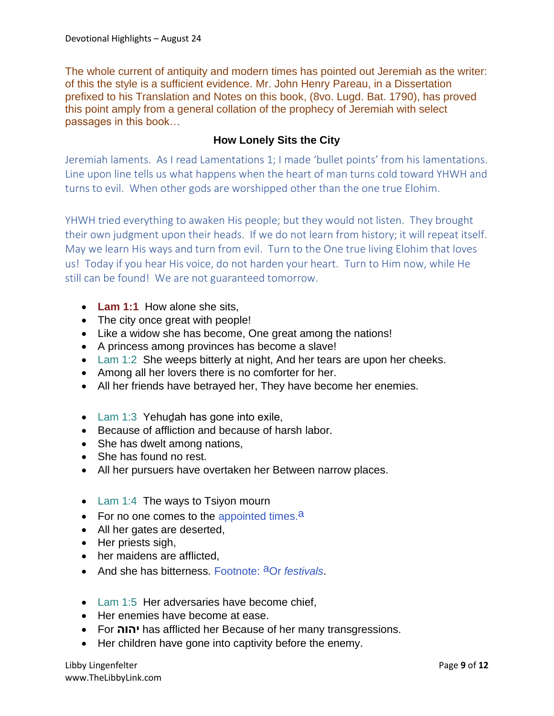The whole current of antiquity and modern times has pointed out Jeremiah as the writer: of this the style is a sufficient evidence. Mr. John Henry Pareau, in a Dissertation prefixed to his Translation and Notes on this book, (8vo. Lugd. Bat. 1790), has proved this point amply from a general collation of the prophecy of Jeremiah with select passages in this book…

## **How Lonely Sits the City**

Jeremiah laments. As I read Lamentations 1; I made 'bullet points' from his lamentations. Line upon line tells us what happens when the heart of man turns cold toward YHWH and turns to evil. When other gods are worshipped other than the one true Elohim.

YHWH tried everything to awaken His people; but they would not listen. They brought their own judgment upon their heads. If we do not learn from history; it will repeat itself. May we learn His ways and turn from evil. Turn to the One true living Elohim that loves us! Today if you hear His voice, do not harden your heart. Turn to Him now, while He still can be found! We are not guaranteed tomorrow.

- **Lam 1:1** How alone she sits,
- The city once great with people!
- Like a widow she has become, One great among the nations!
- A princess among provinces has become a slave!
- Lam 1:2 She weeps bitterly at night, And her tears are upon her cheeks.
- Among all her lovers there is no comforter for her.
- All her friends have betrayed her, They have become her enemies.
- Lam 1:3 Yehudah has gone into exile,
- Because of affliction and because of harsh labor.
- She has dwelt among nations,
- She has found no rest.
- All her pursuers have overtaken her Between narrow places.
- Lam 1:4 The ways to Tsiyon mourn
- For no one comes to the appointed times.<sup>a</sup>
- All her gates are deserted,
- Her priests sigh,
- her maidens are afflicted,
- And she has bitterness. Footnote: aOr *festivals*.
- Lam 1:5 Her adversaries have become chief,
- Her enemies have become at ease.
- For **יהוה** has afflicted her Because of her many transgressions.
- Her children have gone into captivity before the enemy.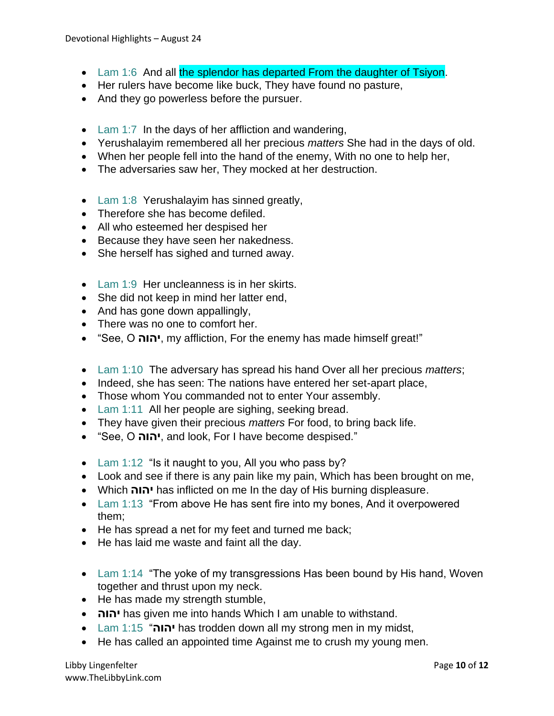- Lam 1:6 And all the splendor has departed From the daughter of Tsiyon.
- Her rulers have become like buck, They have found no pasture,
- And they go powerless before the pursuer.
- Lam 1:7 In the days of her affliction and wandering,
- Yerushalayim remembered all her precious *matters* She had in the days of old.
- When her people fell into the hand of the enemy, With no one to help her,
- The adversaries saw her, They mocked at her destruction.
- Lam 1:8 Yerushalayim has sinned greatly,
- Therefore she has become defiled.
- All who esteemed her despised her
- Because they have seen her nakedness.
- She herself has sighed and turned away.
- Lam 1:9 Her uncleanness is in her skirts.
- She did not keep in mind her latter end,
- And has gone down appallingly,
- There was no one to comfort her.
- "See, O **יהוה**, my affliction, For the enemy has made himself great!"
- Lam 1:10 The adversary has spread his hand Over all her precious *matters*;
- Indeed, she has seen: The nations have entered her set-apart place,
- Those whom You commanded not to enter Your assembly.
- Lam 1:11 All her people are sighing, seeking bread.
- They have given their precious *matters* For food, to bring back life.
- "See, O **יהוה**, and look, For I have become despised."
- Lam 1:12 "Is it naught to you, All you who pass by?
- Look and see if there is any pain like my pain, Which has been brought on me,
- Which **יהוה** has inflicted on me In the day of His burning displeasure.
- Lam 1:13 "From above He has sent fire into my bones, And it overpowered them;
- He has spread a net for my feet and turned me back;
- He has laid me waste and faint all the day.
- Lam 1:14 "The yoke of my transgressions Has been bound by His hand, Woven together and thrust upon my neck.
- He has made my strength stumble,
- **יהוה** has given me into hands Which I am unable to withstand.
- Lam 1:15 "**יהוה** has trodden down all my strong men in my midst,
- He has called an appointed time Against me to crush my young men.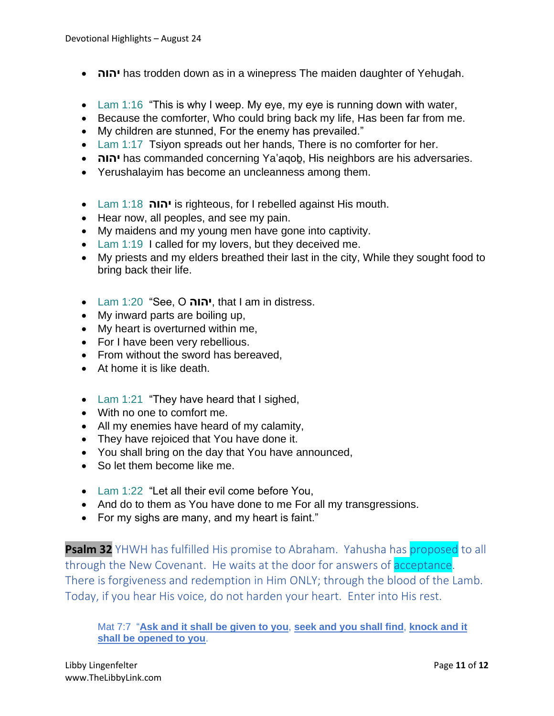- **יהוה** has trodden down as in a winepress The maiden daughter of Yehuḏah.
- Lam 1:16 "This is why I weep. My eye, my eye is running down with water,
- Because the comforter, Who could bring back my life, Has been far from me.
- My children are stunned, For the enemy has prevailed."
- Lam 1:17 Tsiyon spreads out her hands, There is no comforter for her.
- **יהוה** has commanded concerning Ya'aqoḇ, His neighbors are his adversaries.
- Yerushalayim has become an uncleanness among them.
- Lam 1:18 **יהוה** is righteous, for I rebelled against His mouth.
- Hear now, all peoples, and see my pain.
- My maidens and my young men have gone into captivity.
- Lam 1:19 I called for my lovers, but they deceived me.
- My priests and my elders breathed their last in the city, While they sought food to bring back their life.
- Lam 1:20 "See, O **יהוה**, that I am in distress.
- My inward parts are boiling up,
- My heart is overturned within me,
- For I have been very rebellious.
- From without the sword has bereaved.
- At home it is like death.
- Lam 1:21 "They have heard that I sighed,
- With no one to comfort me.
- All my enemies have heard of my calamity,
- They have rejoiced that You have done it.
- You shall bring on the day that You have announced,
- So let them become like me.
- Lam 1:22 "Let all their evil come before You,
- And do to them as You have done to me For all my transgressions.
- For my sighs are many, and my heart is faint."

**Psalm 32** YHWH has fulfilled His promise to Abraham. Yahusha has proposed to all through the New Covenant. He waits at the door for answers of **acceptance**. There is forgiveness and redemption in Him ONLY; through the blood of the Lamb. Today, if you hear His voice, do not harden your heart. Enter into His rest.

#### Mat 7:7 "**Ask and it shall be given to you**, **seek and you shall find**, **knock and it shall be opened to you**.